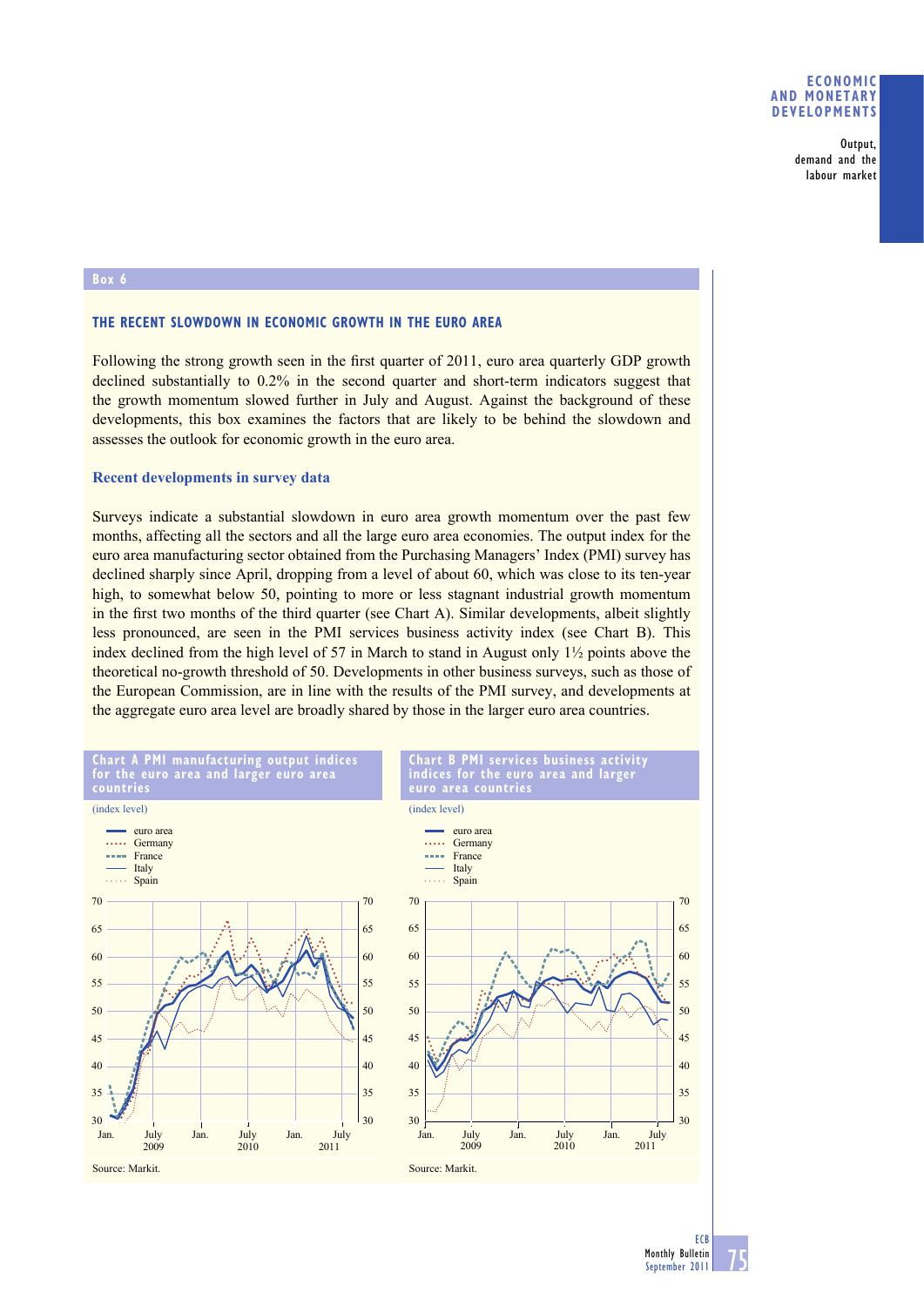**Output, demand and the labour market**

## **THE RECENT SLOWDOWN IN ECONOMIC GROWTH IN THE EURO AREA**

Following the strong growth seen in the first quarter of 2011, euro area quarterly GDP growth declined substantially to 0.2% in the second quarter and short-term indicators suggest that the growth momentum slowed further in July and August. Against the background of these developments, this box examines the factors that are likely to be behind the slowdown and assesses the outlook for economic growth in the euro area.

### **Recent developments in survey data**

Surveys indicate a substantial slowdown in euro area growth momentum over the past few months, affecting all the sectors and all the large euro area economies. The output index for the euro area manufacturing sector obtained from the Purchasing Managers' Index (PMI) survey has declined sharply since April, dropping from a level of about 60, which was close to its ten-year high, to somewhat below 50, pointing to more or less stagnant industrial growth momentum in the first two months of the third quarter (see Chart A). Similar developments, albeit slightly less pronounced, are seen in the PMI services business activity index (see Chart B). This index declined from the high level of 57 in March to stand in August only  $1\frac{1}{2}$  points above the theoretical no-growth threshold of 50. Developments in other business surveys, such as those of the European Commission, are in line with the results of the PMI survey, and developments at the aggregate euro area level are broadly shared by those in the larger euro area countries.

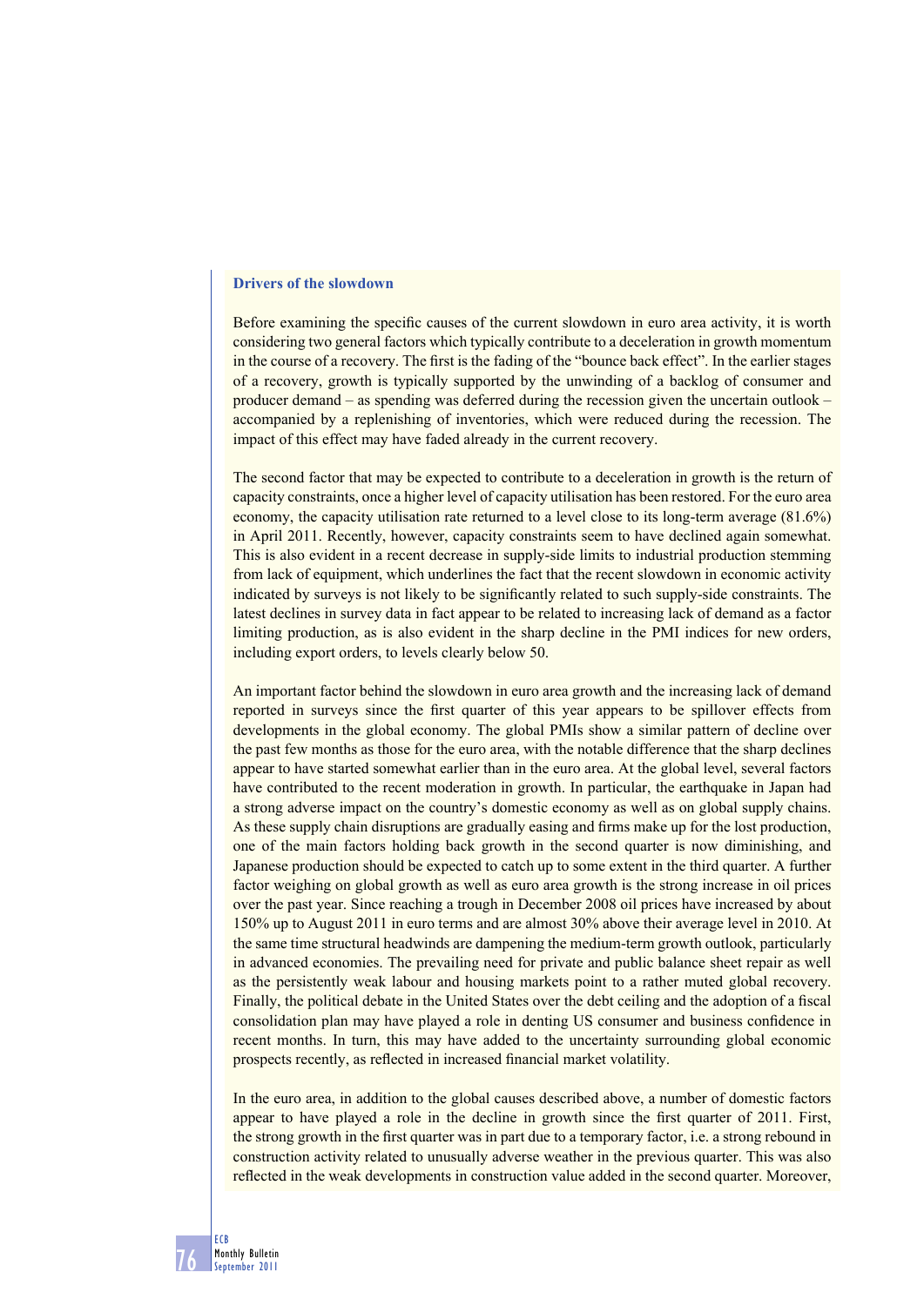## **Drivers of the slowdown**

**76**

**ECB Monthly Bulletin September 2011**

Before examining the specific causes of the current slowdown in euro area activity, it is worth considering two general factors which typically contribute to a deceleration in growth momentum in the course of a recovery. The first is the fading of the "bounce back effect". In the earlier stages of a recovery, growth is typically supported by the unwinding of a backlog of consumer and producer demand – as spending was deferred during the recession given the uncertain outlook – accompanied by a replenishing of inventories, which were reduced during the recession. The impact of this effect may have faded already in the current recovery.

The second factor that may be expected to contribute to a deceleration in growth is the return of capacity constraints, once a higher level of capacity utilisation has been restored. For the euro area economy, the capacity utilisation rate returned to a level close to its long-term average (81.6%) in April 2011. Recently, however, capacity constraints seem to have declined again somewhat. This is also evident in a recent decrease in supply-side limits to industrial production stemming from lack of equipment, which underlines the fact that the recent slowdown in economic activity indicated by surveys is not likely to be significantly related to such supply-side constraints. The latest declines in survey data in fact appear to be related to increasing lack of demand as a factor limiting production, as is also evident in the sharp decline in the PMI indices for new orders, including export orders, to levels clearly below 50.

An important factor behind the slowdown in euro area growth and the increasing lack of demand reported in surveys since the first quarter of this year appears to be spillover effects from developments in the global economy. The global PMIs show a similar pattern of decline over the past few months as those for the euro area, with the notable difference that the sharp declines appear to have started somewhat earlier than in the euro area. At the global level, several factors have contributed to the recent moderation in growth. In particular, the earthquake in Japan had a strong adverse impact on the country's domestic economy as well as on global supply chains. As these supply chain disruptions are gradually easing and firms make up for the lost production, one of the main factors holding back growth in the second quarter is now diminishing, and Japanese production should be expected to catch up to some extent in the third quarter. A further factor weighing on global growth as well as euro area growth is the strong increase in oil prices over the past year. Since reaching a trough in December 2008 oil prices have increased by about 150% up to August 2011 in euro terms and are almost 30% above their average level in 2010. At the same time structural headwinds are dampening the medium-term growth outlook, particularly in advanced economies. The prevailing need for private and public balance sheet repair as well as the persistently weak labour and housing markets point to a rather muted global recovery. Finally, the political debate in the United States over the debt ceiling and the adoption of a fiscal consolidation plan may have played a role in denting US consumer and business confidence in recent months. In turn, this may have added to the uncertainty surrounding global economic prospects recently, as reflected in increased financial market volatility.

In the euro area, in addition to the global causes described above, a number of domestic factors appear to have played a role in the decline in growth since the first quarter of 2011. First, the strong growth in the first quarter was in part due to a temporary factor, i.e. a strong rebound in construction activity related to unusually adverse weather in the previous quarter. This was also reflected in the weak developments in construction value added in the second quarter. Moreover,